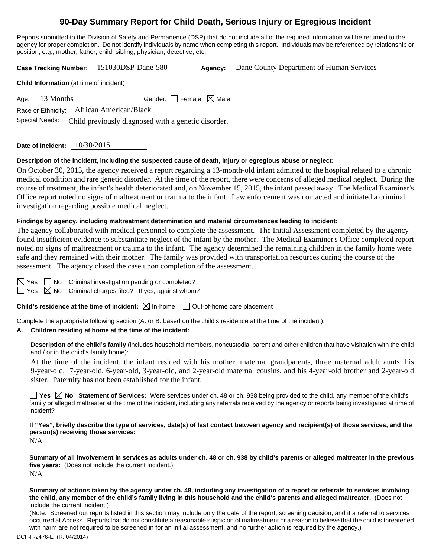# **90-Day Summary Report for Child Death, Serious Injury or Egregious Incident**

Reports submitted to the Division of Safety and Permanence (DSP) that do not include all of the required information will be returned to the agency for proper completion. Do not identify individuals by name when completing this report. Individuals may be referenced by relationship or position; e.g., mother, father, child, sibling, physician, detective, etc.

**Case Tracking Number:** 151030DSP-Dane-580 **Agency:** Dane County Department of Human Services

| <b>Child information</b> (at time of incident) |                  |                                           |                                                                    |  |  |  |  |  |
|------------------------------------------------|------------------|-------------------------------------------|--------------------------------------------------------------------|--|--|--|--|--|
|                                                | Age: $13$ Months |                                           | Gender: Female $\boxtimes$ Male                                    |  |  |  |  |  |
|                                                |                  | Race or Ethnicity: African American/Black |                                                                    |  |  |  |  |  |
|                                                |                  |                                           | Special Needs: Child previously diagnosed with a genetic disorder. |  |  |  |  |  |

**Date of Incident:** 10/30/2015

**Child Information** (at time of incident)

#### **Description of the incident, including the suspected cause of death, injury or egregious abuse or neglect:**

On October 30, 2015, the agency received a report regarding a 13-month-old infant admitted to the hospital related to a chronic medical condition and rare genetic disorder. At the time of the report, there were concerns of alleged medical neglect. During the course of treatment, the infant's health deteriorated and, on November 15, 2015, the infant passed away. The Medical Examiner's Office report noted no signs of maltreatment or trauma to the infant. Law enforcement was contacted and initiated a criminal investigation regarding possible medical neglect.

#### **Findings by agency, including maltreatment determination and material circumstances leading to incident:**

The agency collaborated with medical personnel to complete the assessment. The Initial Assessment completed by the agency found insufficient evidence to substantiate neglect of the infant by the mother. The Medical Examiner's Office completed report noted no signs of maltreatment or trauma to the infant. The agency determined the remaining children in the family home were safe and they remained with their mother. The family was provided with transportation resources during the course of the assessment. The agency closed the case upon completion of the assessment.

| ۰ |  |
|---|--|
|   |  |

 $\Box$  No Criminal investigation pending or completed?

 $\Box$  Yes  $\boxtimes$  No Criminal charges filed? If yes, against whom?

**Child's residence at the time of incident:**  $\boxtimes$  In-home  $\Box$  Out-of-home care placement

Complete the appropriate following section (A. or B. based on the child's residence at the time of the incident).

#### **A. Children residing at home at the time of the incident:**

**Description of the child's family** (includes household members, noncustodial parent and other children that have visitation with the child and / or in the child's family home):

 At the time of the incident, the infant resided with his mother, maternal grandparents, three maternal adult aunts, his 9-year-old, 7-year-old, 6-year-old, 3-year-old, and 2-year-old maternal cousins, and his 4-year-old brother and 2-year-old sister. Paternity has not been established for the infant.

**T** Yes  $\boxtimes$  No Statement of Services: Were services under ch. 48 or ch. 938 being provided to the child, any member of the child's family or alleged maltreater at the time of the incident, including any referrals received by the agency or reports being investigated at time of incident?

**If "Yes", briefly describe the type of services, date(s) of last contact between agency and recipient(s) of those services, and the person(s) receiving those services:** 

N/A

**Summary of all involvement in services as adults under ch. 48 or ch. 938 by child's parents or alleged maltreater in the previous five years:** (Does not include the current incident.) N/A

**Summary of actions taken by the agency under ch. 48, including any investigation of a report or referrals to services involving the child, any member of the child's family living in this household and the child's parents and alleged maltreater.** (Does not include the current incident.)

(Note: Screened out reports listed in this section may include only the date of the report, screening decision, and if a referral to services occurred at Access. Reports that do not constitute a reasonable suspicion of maltreatment or a reason to believe that the child is threatened with harm are not required to be screened in for an initial assessment, and no further action is required by the agency.)